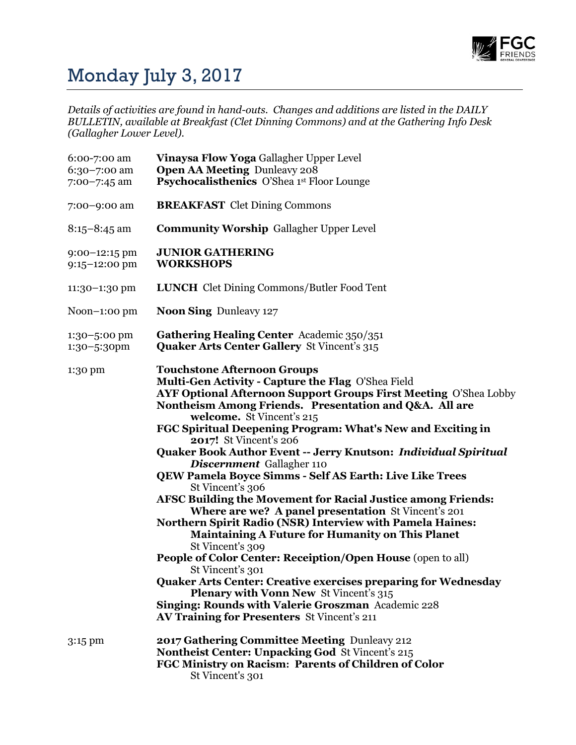

## Monday July 3, 2017

*Details of activities are found in hand-outs. Changes and additions are listed in the DAILY BULLETIN, available at Breakfast (Clet Dinning Commons) and at the Gathering Info Desk (Gallagher Lower Level).*

| 6:00-7:00 am<br>6:30-7:00 am<br>$7:00 - 7:45$ am | Vinaysa Flow Yoga Gallagher Upper Level<br><b>Open AA Meeting Dunleavy 208</b><br><b>Psychocalisthenics</b> O'Shea 1st Floor Lounge                                                                                                                                                                                                                                                                                                                                                                                                                                                                                                                                                                                                                                                                                                                                                                                                                                                                                                                                                                                                   |
|--------------------------------------------------|---------------------------------------------------------------------------------------------------------------------------------------------------------------------------------------------------------------------------------------------------------------------------------------------------------------------------------------------------------------------------------------------------------------------------------------------------------------------------------------------------------------------------------------------------------------------------------------------------------------------------------------------------------------------------------------------------------------------------------------------------------------------------------------------------------------------------------------------------------------------------------------------------------------------------------------------------------------------------------------------------------------------------------------------------------------------------------------------------------------------------------------|
| 7:00-9:00 am                                     | <b>BREAKFAST</b> Clet Dining Commons                                                                                                                                                                                                                                                                                                                                                                                                                                                                                                                                                                                                                                                                                                                                                                                                                                                                                                                                                                                                                                                                                                  |
| $8:15 - 8:45$ am                                 | <b>Community Worship Gallagher Upper Level</b>                                                                                                                                                                                                                                                                                                                                                                                                                                                                                                                                                                                                                                                                                                                                                                                                                                                                                                                                                                                                                                                                                        |
| $9:00-12:15$ pm<br>9:15-12:00 pm                 | <b>JUNIOR GATHERING</b><br><b>WORKSHOPS</b>                                                                                                                                                                                                                                                                                                                                                                                                                                                                                                                                                                                                                                                                                                                                                                                                                                                                                                                                                                                                                                                                                           |
| $11:30-1:30$ pm                                  | <b>LUNCH</b> Clet Dining Commons/Butler Food Tent                                                                                                                                                                                                                                                                                                                                                                                                                                                                                                                                                                                                                                                                                                                                                                                                                                                                                                                                                                                                                                                                                     |
| $Noon-1:OO pm$                                   | <b>Noon Sing Dunleavy 127</b>                                                                                                                                                                                                                                                                                                                                                                                                                                                                                                                                                                                                                                                                                                                                                                                                                                                                                                                                                                                                                                                                                                         |
| 1:30-5:00 pm<br>1:30-5:30pm                      | <b>Gathering Healing Center</b> Academic 350/351<br><b>Quaker Arts Center Gallery St Vincent's 315</b>                                                                                                                                                                                                                                                                                                                                                                                                                                                                                                                                                                                                                                                                                                                                                                                                                                                                                                                                                                                                                                |
| 1:30 pm                                          | <b>Touchstone Afternoon Groups</b><br>Multi-Gen Activity - Capture the Flag O'Shea Field<br>AYF Optional Afternoon Support Groups First Meeting O'Shea Lobby<br>Nontheism Among Friends. Presentation and Q&A. All are<br>welcome. St Vincent's 215<br>FGC Spiritual Deepening Program: What's New and Exciting in<br><b>2017!</b> St Vincent's 206<br>Quaker Book Author Event -- Jerry Knutson: Individual Spiritual<br>Discernment Gallagher 110<br><b>QEW Pamela Boyce Simms - Self AS Earth: Live Like Trees</b><br>St Vincent's 306<br>AFSC Building the Movement for Racial Justice among Friends:<br>Where are we? A panel presentation St Vincent's 201<br>Northern Spirit Radio (NSR) Interview with Pamela Haines:<br><b>Maintaining A Future for Humanity on This Planet</b><br>St Vincent's 309<br>People of Color Center: Receiption/Open House (open to all)<br>St Vincent's 301<br><b>Quaker Arts Center: Creative exercises preparing for Wednesday</b><br><b>Plenary with Vonn New St Vincent's 315</b><br>Singing: Rounds with Valerie Groszman Academic 228<br><b>AV Training for Presenters St Vincent's 211</b> |
| $3:15$ pm                                        | 2017 Gathering Committee Meeting Dunleavy 212<br>Nontheist Center: Unpacking God St Vincent's 215<br>FGC Ministry on Racism: Parents of Children of Color<br>St Vincent's 301                                                                                                                                                                                                                                                                                                                                                                                                                                                                                                                                                                                                                                                                                                                                                                                                                                                                                                                                                         |